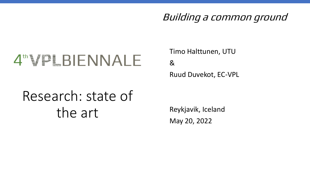#### Building a common ground

# 4"VPLBIENNALE

Timo Halttunen, UTU & Ruud Duvekot, EC-VPL

# Research: state of the art

Reykjavik, Iceland May 20, 2022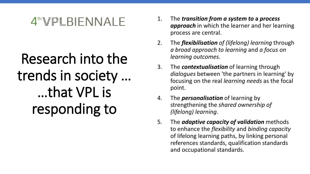# Research into the trends in society … …that VPL is responding to

- 1. The *transition from a system to* **a** *process approach* in which the learner and her learning process are central.
- 2. The *flexibilisation of (lifelong) learning* through *a broad approach to learning* and *a focus on learning outcomes*.
- 3. The *contextualisation* of learning through *dialogues* between 'the partners in learning' by focusing on the real *learning needs* as the focal point.
- 4. The *personalisation* of learning by strengthening the *shared ownership of (lifelong) learning*.
- 5. The *adaptive capacity of validation* methods to enhance the *flexibility* and *binding capacity*  of lifelong learning paths, by linking personal references standards, qualification standards and occupational standards.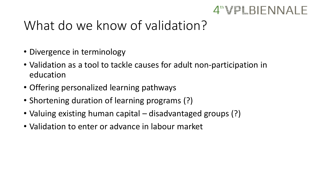#### $4^{\text{th}}\text{VPLBIFNNAI}$  F

### What do we know of validation?

- Divergence in terminology
- Validation as a tool to tackle causes for adult non-participation in education
- Offering personalized learning pathways
- Shortening duration of learning programs (?)
- Valuing existing human capital disadvantaged groups (?)
- Validation to enter or advance in labour market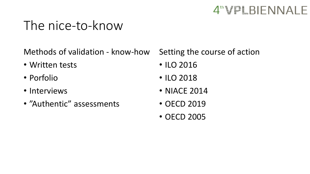### The nice-to-know

Methods of validation - know-how

- Written tests
- Porfolio
- Interviews
- "Authentic" assessments

Setting the course of action

- ILO 2016
- ILO 2018
- NIACE 2014
- OECD 2019
- OECD 2005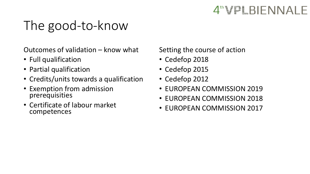# The good-to-know

Outcomes of validation – know what

- Full qualification
- Partial qualification
- Credits/units towards a qualification
- Exemption from admission prerequisities
- Certificate of labour market competences

Setting the course of action

- Cedefop 2018
- Cedefop 2015
- Cedefop 2012
- EUROPEAN COMMISSION 2019
- EUROPEAN COMMISSION 2018
- EUROPEAN COMMISSION 2017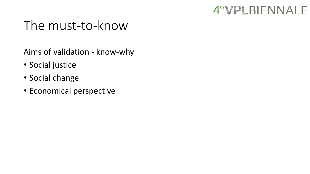

### The must-to-know

Aims of validation - know-why

- Social justice
- Social change
- Economical perspective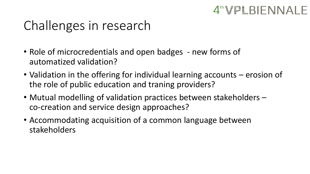# Challenges in research

- Role of microcredentials and open badges new forms of automatized validation?
- Validation in the offering for individual learning accounts erosion of the role of public education and traning providers?

 $4^{\text{th}}\text{VPLBIFNNAI}$  F

- Mutual modelling of validation practices between stakeholders co-creation and service design approaches?
- Accommodating acquisition of a common language between stakeholders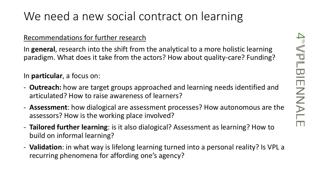### We need a new social contract on learning

#### Recommendations for further research

In **general**, research into the shift from the analytical to a more holistic learning paradigm. What does it take from the actors? How about quality-care? Funding?

In **particular**, a focus on:

- **Outreach:** how are target groups approached and learning needs identified and articulated? How to raise awareness of learners?
- **Assessment**: how dialogical are assessment processes? How autonomous are the assessors? How is the working place involved?
- **Tailored further learning**: is it also dialogical? Assessment as learning? How to build on informal learning?
- **Validation**: in what way is lifelong learning turned into a personal reality? Is VPL a recurring phenomena for affording one's agency?